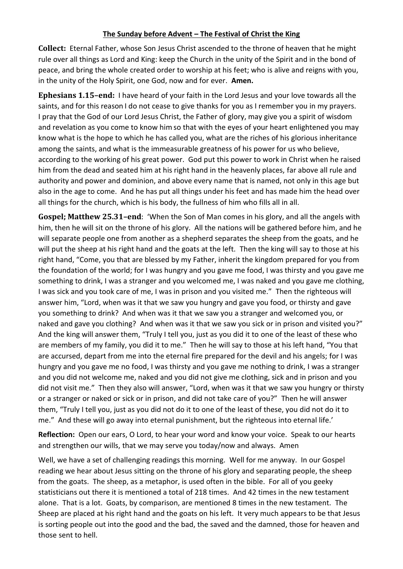## **The Sunday before Advent – The Festival of Christ the King**

**Collect:** Eternal Father, whose Son Jesus Christ ascended to the throne of heaven that he might rule over all things as Lord and King: keep the Church in the unity of the Spirit and in the bond of peace, and bring the whole created order to worship at his feet; who is alive and reigns with you, in the unity of the Holy Spirit, one God, now and for ever. **Amen.**

**Ephesians 1.15–end:** I have heard of your faith in the Lord Jesus and your love towards all the saints, and for this reason I do not cease to give thanks for you as I remember you in my prayers. I pray that the God of our Lord Jesus Christ, the Father of glory, may give you a spirit of wisdom and revelation as you come to know him so that with the eyes of your heart enlightened you may know what is the hope to which he has called you, what are the riches of his glorious inheritance among the saints, and what is the immeasurable greatness of his power for us who believe, according to the working of his great power. God put this power to work in Christ when he raised him from the dead and seated him at his right hand in the heavenly places, far above all rule and authority and power and dominion, and above every name that is named, not only in this age but also in the age to come. And he has put all things under his feet and has made him the head over all things for the church, which is his body, the fullness of him who fills all in all.

**Gospel; Matthew 25.31–end**: 'When the Son of Man comes in his glory, and all the angels with him, then he will sit on the throne of his glory. All the nations will be gathered before him, and he will separate people one from another as a shepherd separates the sheep from the goats, and he will put the sheep at his right hand and the goats at the left. Then the king will say to those at his right hand, "Come, you that are blessed by my Father, inherit the kingdom prepared for you from the foundation of the world; for I was hungry and you gave me food, I was thirsty and you gave me something to drink, I was a stranger and you welcomed me, I was naked and you gave me clothing, I was sick and you took care of me, I was in prison and you visited me." Then the righteous will answer him, "Lord, when was it that we saw you hungry and gave you food, or thirsty and gave you something to drink? And when was it that we saw you a stranger and welcomed you, or naked and gave you clothing? And when was it that we saw you sick or in prison and visited you?" And the king will answer them, "Truly I tell you, just as you did it to one of the least of these who are members of my family, you did it to me." Then he will say to those at his left hand, "You that are accursed, depart from me into the eternal fire prepared for the devil and his angels; for I was hungry and you gave me no food, I was thirsty and you gave me nothing to drink, I was a stranger and you did not welcome me, naked and you did not give me clothing, sick and in prison and you did not visit me." Then they also will answer, "Lord, when was it that we saw you hungry or thirsty or a stranger or naked or sick or in prison, and did not take care of you?" Then he will answer them, "Truly I tell you, just as you did not do it to one of the least of these, you did not do it to me." And these will go away into eternal punishment, but the righteous into eternal life.'

**Reflection:** Open our ears, O Lord, to hear your word and know your voice. Speak to our hearts and strengthen our wills, that we may serve you today/now and always. Amen

Well, we have a set of challenging readings this morning. Well for me anyway. In our Gospel reading we hear about Jesus sitting on the throne of his glory and separating people, the sheep from the goats. The sheep, as a metaphor, is used often in the bible. For all of you geeky statisticians out there it is mentioned a total of 218 times. And 42 times in the new testament alone. That is a lot. Goats, by comparison, are mentioned 8 times in the new testament. The Sheep are placed at his right hand and the goats on his left. It very much appears to be that Jesus is sorting people out into the good and the bad, the saved and the damned, those for heaven and those sent to hell.